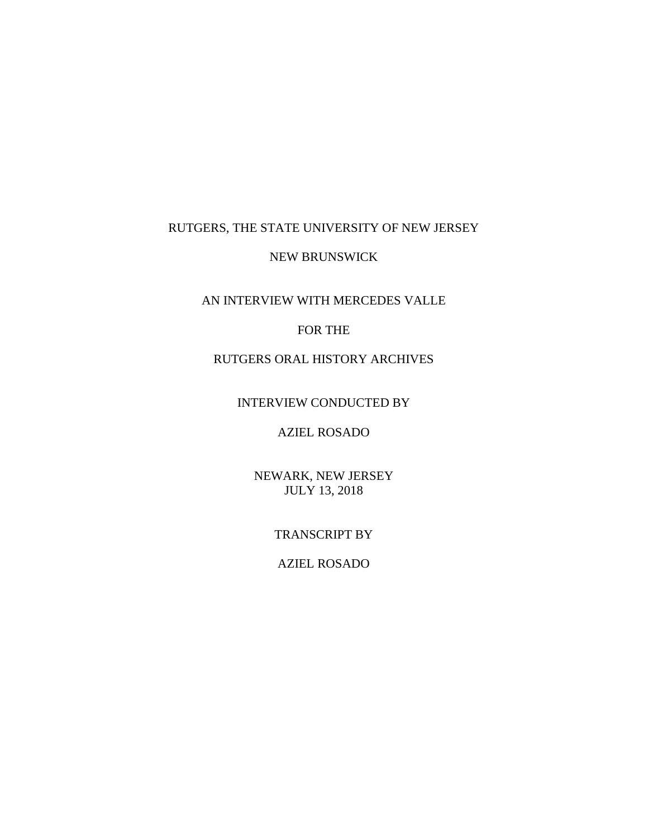# RUTGERS, THE STATE UNIVERSITY OF NEW JERSEY

# NEW BRUNSWICK

AN INTERVIEW WITH MERCEDES VALLE

### FOR THE

### RUTGERS ORAL HISTORY ARCHIVES

# INTERVIEW CONDUCTED BY

# AZIEL ROSADO

NEWARK, NEW JERSEY JULY 13, 2018

### TRANSCRIPT BY

# AZIEL ROSADO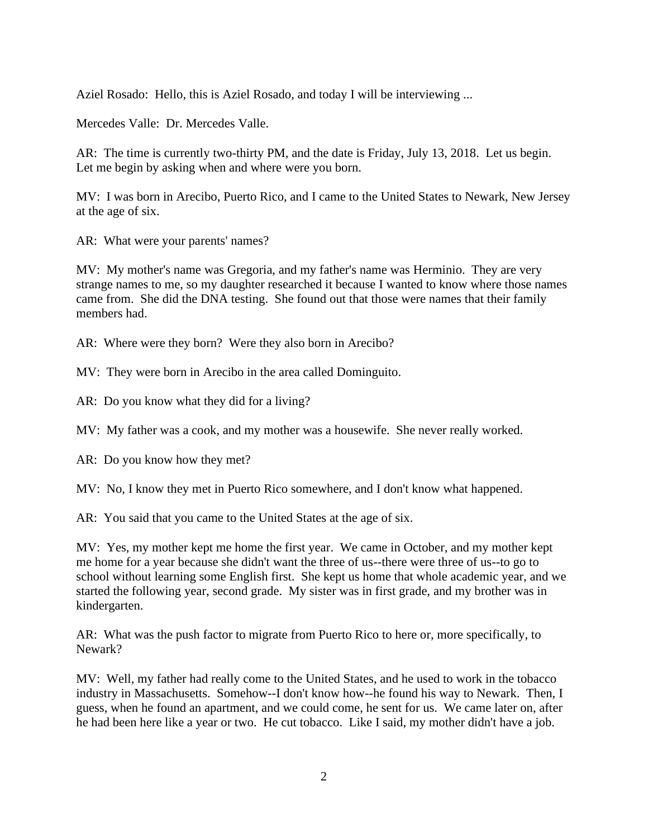Aziel Rosado: Hello, this is Aziel Rosado, and today I will be interviewing ...

Mercedes Valle: Dr. Mercedes Valle.

AR: The time is currently two-thirty PM, and the date is Friday, July 13, 2018. Let us begin. Let me begin by asking when and where were you born.

MV: I was born in Arecibo, Puerto Rico, and I came to the United States to Newark, New Jersey at the age of six.

AR: What were your parents' names?

MV: My mother's name was Gregoria, and my father's name was Herminio. They are very strange names to me, so my daughter researched it because I wanted to know where those names came from. She did the DNA testing. She found out that those were names that their family members had.

AR: Where were they born? Were they also born in Arecibo?

MV: They were born in Arecibo in the area called Dominguito.

AR: Do you know what they did for a living?

MV: My father was a cook, and my mother was a housewife. She never really worked.

AR: Do you know how they met?

MV: No, I know they met in Puerto Rico somewhere, and I don't know what happened.

AR: You said that you came to the United States at the age of six.

MV: Yes, my mother kept me home the first year. We came in October, and my mother kept me home for a year because she didn't want the three of us--there were three of us--to go to school without learning some English first. She kept us home that whole academic year, and we started the following year, second grade. My sister was in first grade, and my brother was in kindergarten.

AR: What was the push factor to migrate from Puerto Rico to here or, more specifically, to Newark?

MV: Well, my father had really come to the United States, and he used to work in the tobacco industry in Massachusetts. Somehow--I don't know how--he found his way to Newark. Then, I guess, when he found an apartment, and we could come, he sent for us. We came later on, after he had been here like a year or two. He cut tobacco. Like I said, my mother didn't have a job.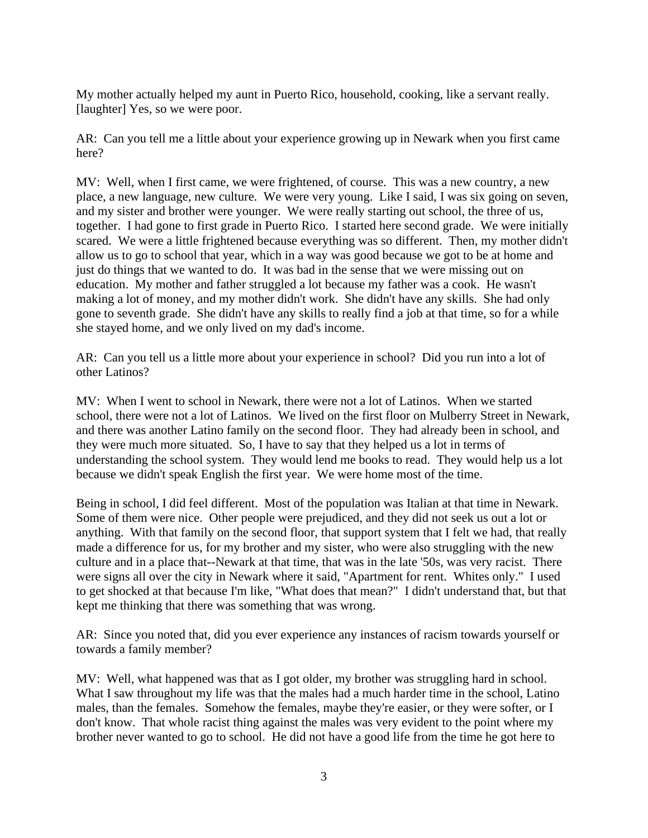My mother actually helped my aunt in Puerto Rico, household, cooking, like a servant really. [laughter] Yes, so we were poor.

AR: Can you tell me a little about your experience growing up in Newark when you first came here?

MV: Well, when I first came, we were frightened, of course. This was a new country, a new place, a new language, new culture. We were very young. Like I said, I was six going on seven, and my sister and brother were younger. We were really starting out school, the three of us, together. I had gone to first grade in Puerto Rico. I started here second grade. We were initially scared. We were a little frightened because everything was so different. Then, my mother didn't allow us to go to school that year, which in a way was good because we got to be at home and just do things that we wanted to do. It was bad in the sense that we were missing out on education. My mother and father struggled a lot because my father was a cook. He wasn't making a lot of money, and my mother didn't work. She didn't have any skills. She had only gone to seventh grade. She didn't have any skills to really find a job at that time, so for a while she stayed home, and we only lived on my dad's income.

AR: Can you tell us a little more about your experience in school? Did you run into a lot of other Latinos?

MV: When I went to school in Newark, there were not a lot of Latinos. When we started school, there were not a lot of Latinos. We lived on the first floor on Mulberry Street in Newark, and there was another Latino family on the second floor. They had already been in school, and they were much more situated. So, I have to say that they helped us a lot in terms of understanding the school system. They would lend me books to read. They would help us a lot because we didn't speak English the first year. We were home most of the time.

Being in school, I did feel different. Most of the population was Italian at that time in Newark. Some of them were nice. Other people were prejudiced, and they did not seek us out a lot or anything. With that family on the second floor, that support system that I felt we had, that really made a difference for us, for my brother and my sister, who were also struggling with the new culture and in a place that--Newark at that time, that was in the late '50s, was very racist. There were signs all over the city in Newark where it said, "Apartment for rent. Whites only." I used to get shocked at that because I'm like, "What does that mean?" I didn't understand that, but that kept me thinking that there was something that was wrong.

AR: Since you noted that, did you ever experience any instances of racism towards yourself or towards a family member?

MV: Well, what happened was that as I got older, my brother was struggling hard in school. What I saw throughout my life was that the males had a much harder time in the school, Latino males, than the females. Somehow the females, maybe they're easier, or they were softer, or I don't know. That whole racist thing against the males was very evident to the point where my brother never wanted to go to school. He did not have a good life from the time he got here to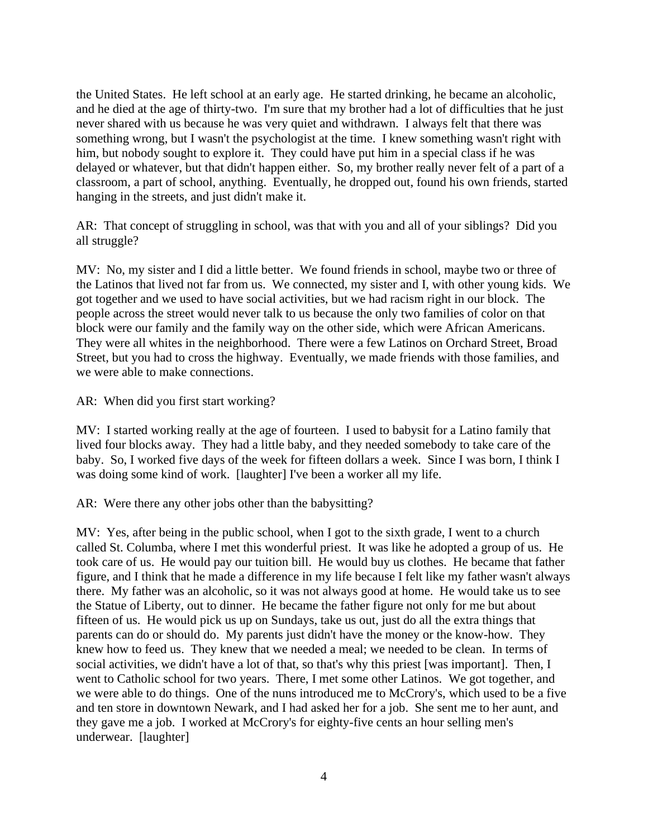the United States. He left school at an early age. He started drinking, he became an alcoholic, and he died at the age of thirty-two. I'm sure that my brother had a lot of difficulties that he just never shared with us because he was very quiet and withdrawn. I always felt that there was something wrong, but I wasn't the psychologist at the time. I knew something wasn't right with him, but nobody sought to explore it. They could have put him in a special class if he was delayed or whatever, but that didn't happen either. So, my brother really never felt of a part of a classroom, a part of school, anything. Eventually, he dropped out, found his own friends, started hanging in the streets, and just didn't make it.

AR: That concept of struggling in school, was that with you and all of your siblings? Did you all struggle?

MV: No, my sister and I did a little better. We found friends in school, maybe two or three of the Latinos that lived not far from us. We connected, my sister and I, with other young kids. We got together and we used to have social activities, but we had racism right in our block. The people across the street would never talk to us because the only two families of color on that block were our family and the family way on the other side, which were African Americans. They were all whites in the neighborhood. There were a few Latinos on Orchard Street, Broad Street, but you had to cross the highway. Eventually, we made friends with those families, and we were able to make connections.

AR: When did you first start working?

MV: I started working really at the age of fourteen. I used to babysit for a Latino family that lived four blocks away. They had a little baby, and they needed somebody to take care of the baby. So, I worked five days of the week for fifteen dollars a week. Since I was born, I think I was doing some kind of work. [laughter] I've been a worker all my life.

AR: Were there any other jobs other than the babysitting?

MV: Yes, after being in the public school, when I got to the sixth grade, I went to a church called St. Columba, where I met this wonderful priest. It was like he adopted a group of us. He took care of us. He would pay our tuition bill. He would buy us clothes. He became that father figure, and I think that he made a difference in my life because I felt like my father wasn't always there. My father was an alcoholic, so it was not always good at home. He would take us to see the Statue of Liberty, out to dinner. He became the father figure not only for me but about fifteen of us. He would pick us up on Sundays, take us out, just do all the extra things that parents can do or should do. My parents just didn't have the money or the know-how. They knew how to feed us. They knew that we needed a meal; we needed to be clean. In terms of social activities, we didn't have a lot of that, so that's why this priest [was important]. Then, I went to Catholic school for two years. There, I met some other Latinos. We got together, and we were able to do things. One of the nuns introduced me to McCrory's, which used to be a five and ten store in downtown Newark, and I had asked her for a job. She sent me to her aunt, and they gave me a job. I worked at McCrory's for eighty-five cents an hour selling men's underwear. [laughter]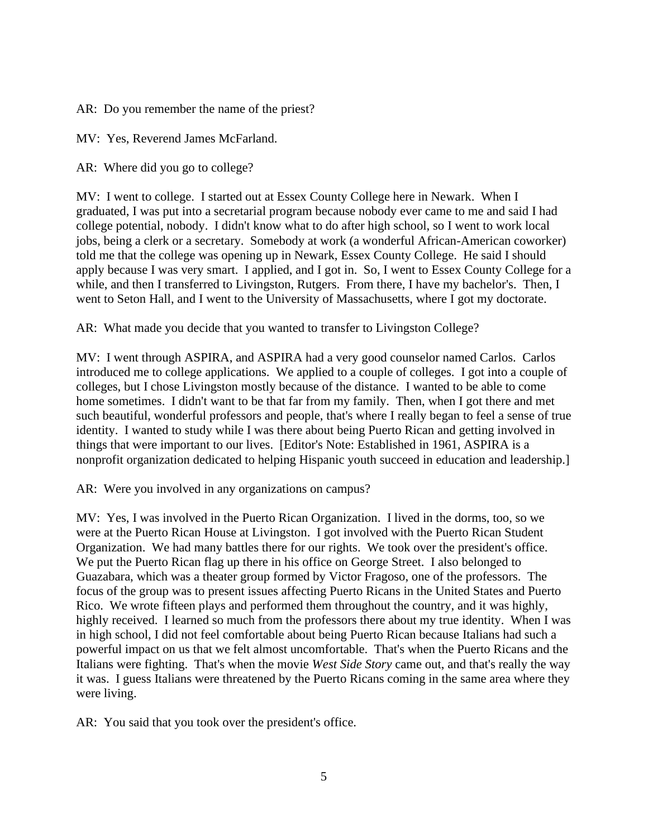AR: Do you remember the name of the priest?

MV: Yes, Reverend James McFarland.

AR: Where did you go to college?

MV: I went to college. I started out at Essex County College here in Newark. When I graduated, I was put into a secretarial program because nobody ever came to me and said I had college potential, nobody. I didn't know what to do after high school, so I went to work local jobs, being a clerk or a secretary. Somebody at work (a wonderful African-American coworker) told me that the college was opening up in Newark, Essex County College. He said I should apply because I was very smart. I applied, and I got in. So, I went to Essex County College for a while, and then I transferred to Livingston, Rutgers. From there, I have my bachelor's. Then, I went to Seton Hall, and I went to the University of Massachusetts, where I got my doctorate.

AR: What made you decide that you wanted to transfer to Livingston College?

MV: I went through ASPIRA, and ASPIRA had a very good counselor named Carlos. Carlos introduced me to college applications. We applied to a couple of colleges. I got into a couple of colleges, but I chose Livingston mostly because of the distance. I wanted to be able to come home sometimes. I didn't want to be that far from my family. Then, when I got there and met such beautiful, wonderful professors and people, that's where I really began to feel a sense of true identity. I wanted to study while I was there about being Puerto Rican and getting involved in things that were important to our lives. [Editor's Note: Established in 1961, ASPIRA is a nonprofit organization dedicated to helping Hispanic youth succeed in education and leadership.]

AR: Were you involved in any organizations on campus?

MV: Yes, I was involved in the Puerto Rican Organization. I lived in the dorms, too, so we were at the Puerto Rican House at Livingston. I got involved with the Puerto Rican Student Organization. We had many battles there for our rights. We took over the president's office. We put the Puerto Rican flag up there in his office on George Street. I also belonged to Guazabara, which was a theater group formed by Victor Fragoso, one of the professors. The focus of the group was to present issues affecting Puerto Ricans in the United States and Puerto Rico. We wrote fifteen plays and performed them throughout the country, and it was highly, highly received. I learned so much from the professors there about my true identity. When I was in high school, I did not feel comfortable about being Puerto Rican because Italians had such a powerful impact on us that we felt almost uncomfortable. That's when the Puerto Ricans and the Italians were fighting. That's when the movie *West Side Story* came out, and that's really the way it was. I guess Italians were threatened by the Puerto Ricans coming in the same area where they were living.

AR: You said that you took over the president's office.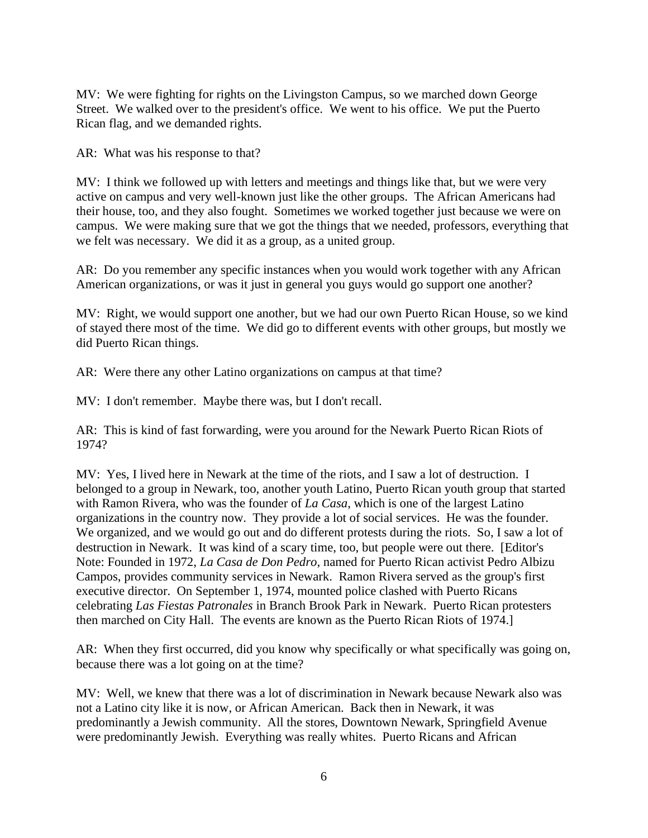MV: We were fighting for rights on the Livingston Campus, so we marched down George Street. We walked over to the president's office. We went to his office. We put the Puerto Rican flag, and we demanded rights.

AR: What was his response to that?

MV: I think we followed up with letters and meetings and things like that, but we were very active on campus and very well-known just like the other groups. The African Americans had their house, too, and they also fought. Sometimes we worked together just because we were on campus. We were making sure that we got the things that we needed, professors, everything that we felt was necessary. We did it as a group, as a united group.

AR: Do you remember any specific instances when you would work together with any African American organizations, or was it just in general you guys would go support one another?

MV: Right, we would support one another, but we had our own Puerto Rican House, so we kind of stayed there most of the time. We did go to different events with other groups, but mostly we did Puerto Rican things.

AR: Were there any other Latino organizations on campus at that time?

MV: I don't remember. Maybe there was, but I don't recall.

AR: This is kind of fast forwarding, were you around for the Newark Puerto Rican Riots of 1974?

MV: Yes, I lived here in Newark at the time of the riots, and I saw a lot of destruction. I belonged to a group in Newark, too, another youth Latino, Puerto Rican youth group that started with Ramon Rivera, who was the founder of *La Casa*, which is one of the largest Latino organizations in the country now. They provide a lot of social services. He was the founder. We organized, and we would go out and do different protests during the riots. So, I saw a lot of destruction in Newark. It was kind of a scary time, too, but people were out there. [Editor's Note: Founded in 1972, *La Casa de Don Pedro*, named for Puerto Rican activist Pedro Albizu Campos, provides community services in Newark. Ramon Rivera served as the group's first executive director. On September 1, 1974, mounted police clashed with Puerto Ricans celebrating *Las Fiestas Patronales* in Branch Brook Park in Newark. Puerto Rican protesters then marched on City Hall. The events are known as the Puerto Rican Riots of 1974.]

AR: When they first occurred, did you know why specifically or what specifically was going on, because there was a lot going on at the time?

MV: Well, we knew that there was a lot of discrimination in Newark because Newark also was not a Latino city like it is now, or African American. Back then in Newark, it was predominantly a Jewish community. All the stores, Downtown Newark, Springfield Avenue were predominantly Jewish. Everything was really whites. Puerto Ricans and African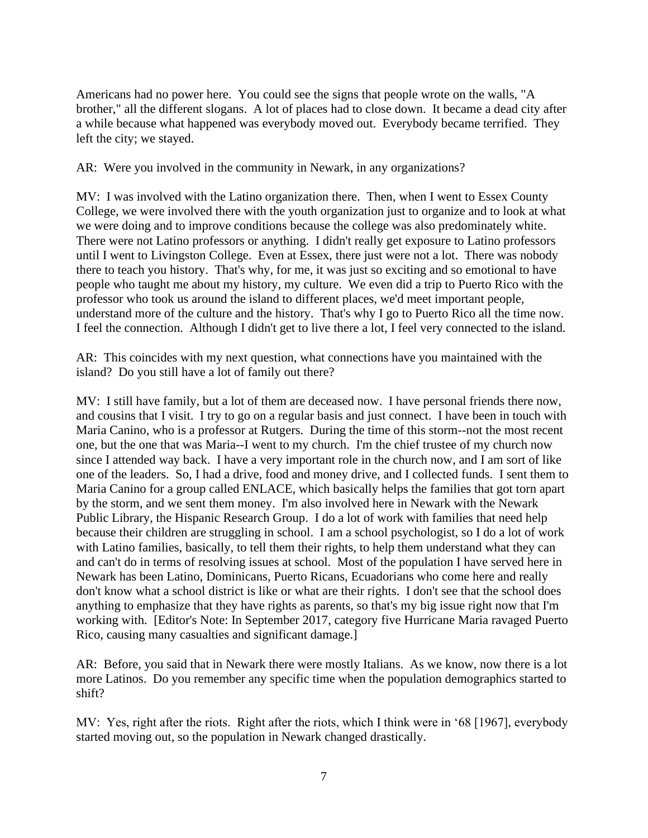Americans had no power here. You could see the signs that people wrote on the walls, "A brother," all the different slogans. A lot of places had to close down. It became a dead city after a while because what happened was everybody moved out. Everybody became terrified. They left the city; we stayed.

AR: Were you involved in the community in Newark, in any organizations?

MV: I was involved with the Latino organization there. Then, when I went to Essex County College, we were involved there with the youth organization just to organize and to look at what we were doing and to improve conditions because the college was also predominately white. There were not Latino professors or anything. I didn't really get exposure to Latino professors until I went to Livingston College. Even at Essex, there just were not a lot. There was nobody there to teach you history. That's why, for me, it was just so exciting and so emotional to have people who taught me about my history, my culture. We even did a trip to Puerto Rico with the professor who took us around the island to different places, we'd meet important people, understand more of the culture and the history. That's why I go to Puerto Rico all the time now. I feel the connection. Although I didn't get to live there a lot, I feel very connected to the island.

AR: This coincides with my next question, what connections have you maintained with the island? Do you still have a lot of family out there?

MV: I still have family, but a lot of them are deceased now. I have personal friends there now, and cousins that I visit. I try to go on a regular basis and just connect. I have been in touch with Maria Canino, who is a professor at Rutgers. During the time of this storm--not the most recent one, but the one that was Maria--I went to my church. I'm the chief trustee of my church now since I attended way back. I have a very important role in the church now, and I am sort of like one of the leaders. So, I had a drive, food and money drive, and I collected funds. I sent them to Maria Canino for a group called ENLACE, which basically helps the families that got torn apart by the storm, and we sent them money. I'm also involved here in Newark with the Newark Public Library, the Hispanic Research Group. I do a lot of work with families that need help because their children are struggling in school. I am a school psychologist, so I do a lot of work with Latino families, basically, to tell them their rights, to help them understand what they can and can't do in terms of resolving issues at school. Most of the population I have served here in Newark has been Latino, Dominicans, Puerto Ricans, Ecuadorians who come here and really don't know what a school district is like or what are their rights. I don't see that the school does anything to emphasize that they have rights as parents, so that's my big issue right now that I'm working with. [Editor's Note: In September 2017, category five Hurricane Maria ravaged Puerto Rico, causing many casualties and significant damage.]

AR: Before, you said that in Newark there were mostly Italians. As we know, now there is a lot more Latinos. Do you remember any specific time when the population demographics started to shift?

MV: Yes, right after the riots. Right after the riots, which I think were in '68 [1967], everybody started moving out, so the population in Newark changed drastically.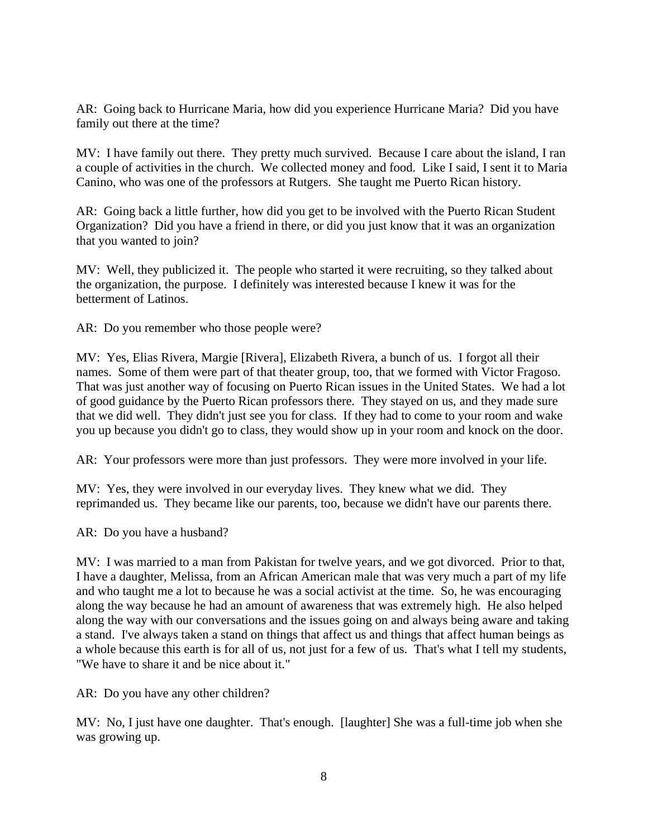AR: Going back to Hurricane Maria, how did you experience Hurricane Maria? Did you have family out there at the time?

MV: I have family out there. They pretty much survived. Because I care about the island, I ran a couple of activities in the church. We collected money and food. Like I said, I sent it to Maria Canino, who was one of the professors at Rutgers. She taught me Puerto Rican history.

AR: Going back a little further, how did you get to be involved with the Puerto Rican Student Organization? Did you have a friend in there, or did you just know that it was an organization that you wanted to join?

MV: Well, they publicized it. The people who started it were recruiting, so they talked about the organization, the purpose. I definitely was interested because I knew it was for the betterment of Latinos.

AR: Do you remember who those people were?

MV: Yes, Elias Rivera, Margie [Rivera], Elizabeth Rivera, a bunch of us. I forgot all their names. Some of them were part of that theater group, too, that we formed with Victor Fragoso. That was just another way of focusing on Puerto Rican issues in the United States. We had a lot of good guidance by the Puerto Rican professors there. They stayed on us, and they made sure that we did well. They didn't just see you for class. If they had to come to your room and wake you up because you didn't go to class, they would show up in your room and knock on the door.

AR: Your professors were more than just professors. They were more involved in your life.

MV: Yes, they were involved in our everyday lives. They knew what we did. They reprimanded us. They became like our parents, too, because we didn't have our parents there.

AR: Do you have a husband?

MV: I was married to a man from Pakistan for twelve years, and we got divorced. Prior to that, I have a daughter, Melissa, from an African American male that was very much a part of my life and who taught me a lot to because he was a social activist at the time. So, he was encouraging along the way because he had an amount of awareness that was extremely high. He also helped along the way with our conversations and the issues going on and always being aware and taking a stand. I've always taken a stand on things that affect us and things that affect human beings as a whole because this earth is for all of us, not just for a few of us. That's what I tell my students, "We have to share it and be nice about it."

AR: Do you have any other children?

MV: No, I just have one daughter. That's enough. [laughter] She was a full-time job when she was growing up.